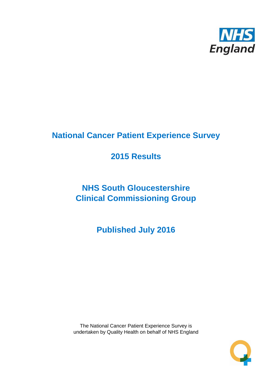

# **National Cancer Patient Experience Survey**

# **2015 Results**

# **NHS South Gloucestershire Clinical Commissioning Group**

**Published July 2016**

The National Cancer Patient Experience Survey is undertaken by Quality Health on behalf of NHS England

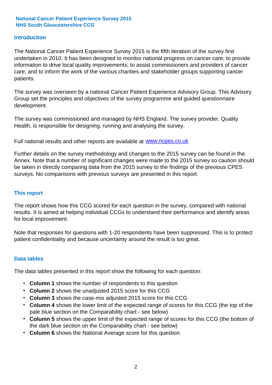#### **Introduction**

The National Cancer Patient Experience Survey 2015 is the fifth iteration of the survey first undertaken in 2010. It has been designed to monitor national progress on cancer care; to provide information to drive local quality improvements; to assist commissioners and providers of cancer care; and to inform the work of the various charities and stakeholder groups supporting cancer patients.

The survey was overseen by a national Cancer Patient Experience Advisory Group. This Advisory Group set the principles and objectives of the survey programme and guided questionnaire development.

The survey was commissioned and managed by NHS England. The survey provider, Quality Health, is responsible for designing, running and analysing the survey.

Full national results and other reports are available at www.ncpes.co.uk

Further details on the survey methodology and changes to the 2015 survey can be found in the Annex. Note that a number of significant changes were made to the 2015 survey so caution should be taken in directly comparing data from the 2015 survey to the findings of the previous CPES surveys. No comparisons with previous surveys are presented in this report.

#### **This report**

The report shows how this CCG scored for each question in the survey, compared with national results. It is aimed at helping individual CCGs to understand their performance and identify areas for local improvement.

Note that responses for questions with 1-20 respondents have been suppressed. This is to protect patient confidentiality and because uncertainty around the result is too great.

#### **Data tables**

The data tables presented in this report show the following for each question:

- **Column 1** shows the number of respondents to this question
- **Column 2** shows the unadjusted 2015 score for this CCG
- **Column 3** shows the case-mix adjusted 2015 score for this CCG
- **Column 4** shows the lower limit of the expected range of scores for this CCG (the top of the pale blue section on the Comparability chart - see below)
- **Column 5** shows the upper limit of the expected range of scores for this CCG (the bottom of the dark blue section on the Comparability chart - see below)
- **Column 6** shows the National Average score for this question.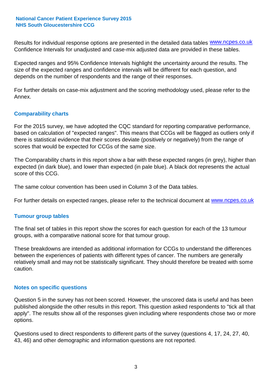Results for individual response options are presented in the detailed data tables **WWW.ncpes.co.uk** Confidence Intervals for unadjusted and case-mix adjusted data are provided in these tables.

Expected ranges and 95% Confidence Intervals highlight the uncertainty around the results. The size of the expected ranges and confidence intervals will be different for each question, and depends on the number of respondents and the range of their responses.

For further details on case-mix adjustment and the scoring methodology used, please refer to the Annex.

#### **Comparability charts**

For the 2015 survey, we have adopted the CQC standard for reporting comparative performance, based on calculation of "expected ranges". This means that CCGs will be flagged as outliers only if there is statistical evidence that their scores deviate (positively or negatively) from the range of scores that would be expected for CCGs of the same size.

The Comparability charts in this report show a bar with these expected ranges (in grey), higher than expected (in dark blue), and lower than expected (in pale blue). A black dot represents the actual score of this CCG.

The same colour convention has been used in Column 3 of the Data tables.

For further details on expected ranges, please refer to the technical document at **www.ncpes.co.uk** 

#### **Tumour group tables**

The final set of tables in this report show the scores for each question for each of the 13 tumour groups, with a comparative national score for that tumour group.

These breakdowns are intended as additional information for CCGs to understand the differences between the experiences of patients with different types of cancer. The numbers are generally relatively small and may not be statistically significant. They should therefore be treated with some caution.

#### **Notes on specific questions**

Question 5 in the survey has not been scored. However, the unscored data is useful and has been published alongside the other results in this report. This question asked respondents to "tick all that apply". The results show all of the responses given including where respondents chose two or more options.

Questions used to direct respondents to different parts of the survey (questions 4, 17, 24, 27, 40, 43, 46) and other demographic and information questions are not reported.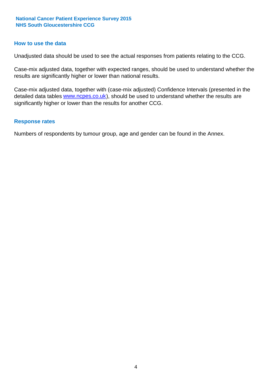#### **How to use the data**

Unadjusted data should be used to see the actual responses from patients relating to the CCG.

Case-mix adjusted data, together with expected ranges, should be used to understand whether the results are significantly higher or lower than national results.

Case-mix adjusted data, together with (case-mix adjusted) Confidence Intervals (presented in the detailed data tables **www.ncpes.co.uk**), should be used to understand whether the results are significantly higher or lower than the results for another CCG.

#### **Response rates**

Numbers of respondents by tumour group, age and gender can be found in the Annex.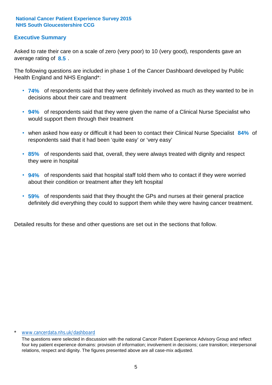#### **Executive Summary**

average rating of 8.5. Asked to rate their care on a scale of zero (very poor) to 10 (very good), respondents gave an

The following questions are included in phase 1 of the Cancer Dashboard developed by Public Health England and NHS England\*:

- **74%** of respondents said that they were definitely involved as much as they wanted to be in decisions about their care and treatment
- **94%** of respondents said that they were given the name of a Clinical Nurse Specialist who would support them through their treatment
- when asked how easy or difficult it had been to contact their Clinical Nurse Specialist 84% of respondents said that it had been 'quite easy' or 'very easy'
- **85%** of respondents said that, overall, they were always treated with dignity and respect they were in hospital
- **94%** of respondents said that hospital staff told them who to contact if they were worried about their condition or treatment after they left hospital
- **59%** of respondents said that they thought the GPs and nurses at their general practice definitely did everything they could to support them while they were having cancer treatment.

Detailed results for these and other questions are set out in the sections that follow.

#### www.cancerdata.nhs.uk/dashboard

The questions were selected in discussion with the national Cancer Patient Experience Advisory Group and reflect four key patient experience domains: provision of information; involvement in decisions; care transition; interpersonal relations, respect and dignity. The figures presented above are all case-mix adjusted.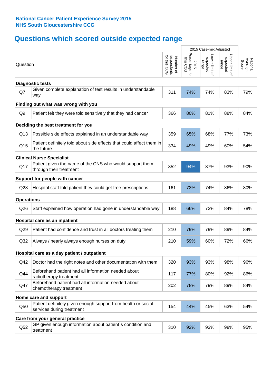# **Questions which scored outside expected range**

|                   |                                                                                            |                                          | 2015 Case-mix Adjusted             |                                     |                                     |                              |
|-------------------|--------------------------------------------------------------------------------------------|------------------------------------------|------------------------------------|-------------------------------------|-------------------------------------|------------------------------|
| Question          |                                                                                            | respondents<br>for this CCG<br>Number of | Percentage for<br>this CCG<br>2015 | Lower limit of<br>expected<br>range | Upper limit of<br>expected<br>range | Average<br>Score<br>National |
|                   | <b>Diagnostic tests</b>                                                                    |                                          |                                    |                                     |                                     |                              |
| Q7                | Given complete explanation of test results in understandable<br>way                        | 311                                      | 74%                                | 74%                                 | 83%                                 | 79%                          |
|                   | Finding out what was wrong with you                                                        |                                          |                                    |                                     |                                     |                              |
| Q <sub>9</sub>    | Patient felt they were told sensitively that they had cancer                               | 366                                      | 80%                                | 81%                                 | 88%                                 | 84%                          |
|                   | Deciding the best treatment for you                                                        |                                          |                                    |                                     |                                     |                              |
| Q13               | Possible side effects explained in an understandable way                                   | 359                                      | 65%                                | 68%                                 | 77%                                 | 73%                          |
| Q <sub>15</sub>   | Patient definitely told about side effects that could affect them in<br>the future         | 334                                      | 49%                                | 49%                                 | 60%                                 | 54%                          |
|                   | <b>Clinical Nurse Specialist</b>                                                           |                                          |                                    |                                     |                                     |                              |
| Q17               | Patient given the name of the CNS who would support them<br>through their treatment        | 352                                      | 94%                                | 87%                                 | 93%                                 | 90%                          |
|                   | Support for people with cancer                                                             |                                          |                                    |                                     |                                     |                              |
| Q <sub>23</sub>   | Hospital staff told patient they could get free prescriptions                              | 161                                      | 73%                                | 74%                                 | 86%                                 | 80%                          |
| <b>Operations</b> |                                                                                            |                                          |                                    |                                     |                                     |                              |
| Q26               | Staff explained how operation had gone in understandable way                               | 188                                      | 66%                                | 72%                                 | 84%                                 | 78%                          |
|                   | Hospital care as an inpatient                                                              |                                          |                                    |                                     |                                     |                              |
| Q29               | Patient had confidence and trust in all doctors treating them                              | 210                                      | 79%                                | 79%                                 | 89%                                 | 84%                          |
| Q <sub>32</sub>   | Always / nearly always enough nurses on duty                                               | 210                                      | 59%                                | 60%                                 | 72%                                 | 66%                          |
|                   | Hospital care as a day patient / outpatient                                                |                                          |                                    |                                     |                                     |                              |
| Q42               | Doctor had the right notes and other documentation with them                               | 320                                      | 93%                                | 93%                                 | 98%                                 | 96%                          |
| Q44               | Beforehand patient had all information needed about<br>radiotherapy treatment              | 117                                      | 77%                                | 80%                                 | 92%                                 | 86%                          |
| Q47               | Beforehand patient had all information needed about<br>chemotherapy treatment              | 202                                      | 78%                                | 79%                                 | 89%                                 | 84%                          |
|                   | Home care and support                                                                      |                                          |                                    |                                     |                                     |                              |
| Q50               | Patient definitely given enough support from health or social<br>services during treatment | 154                                      | 44%                                | 45%                                 | 63%                                 | 54%                          |
|                   | Care from your general practice                                                            |                                          |                                    |                                     |                                     |                              |
| Q52               | GP given enough information about patient's condition and<br>treatment                     | 310                                      | 92%                                | 93%                                 | 98%                                 | 95%                          |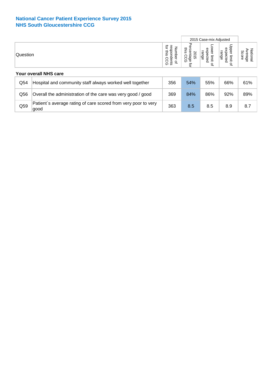|          |                                                                        |                                                              |                                           | 2015 Case-mix Adjusted                         |                                       |                              |
|----------|------------------------------------------------------------------------|--------------------------------------------------------------|-------------------------------------------|------------------------------------------------|---------------------------------------|------------------------------|
| Question |                                                                        | ğ<br>respondents<br>Number<br>inis<br>റ<br>Š<br>$\mathbf{a}$ | ਨ<br>this<br>entage<br>S<br>긍<br>ᠺ<br>ਕੁੱ | ower<br>expected<br>range<br>limit<br>$\Omega$ | Upper limit<br>expected<br>range<br>₽ | Average<br>National<br>Score |
|          | Your overall NHS care                                                  |                                                              |                                           |                                                |                                       |                              |
| Q54      | Hospital and community staff always worked well together               | 356                                                          | 54%                                       | 55%                                            | 66%                                   | 61%                          |
| Q56      | Overall the administration of the care was very good / good            | 369                                                          | 84%                                       | 86%                                            | 92%                                   | 89%                          |
| Q59      | Patient's average rating of care scored from very poor to very<br>good | 363                                                          | 8.5                                       | 8.5                                            | 8.9                                   | 8.7                          |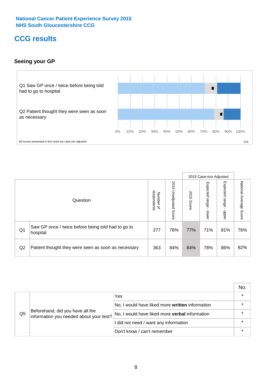# **CCG results**

#### **Seeing your GP**



|    |                                                                |                                                     |                             |               | 2015 Case-mix Adjusted     |                            |                           |
|----|----------------------------------------------------------------|-----------------------------------------------------|-----------------------------|---------------|----------------------------|----------------------------|---------------------------|
|    | Question                                                       | respondents<br><b>Number</b><br>$\overline{\sigma}$ | 2015<br>Unadjusted<br>Score | 2015<br>Score | Expected<br>range<br>lower | Expected<br>range<br>nbber | National Average<br>Score |
| Q1 | Saw GP once / twice before being told had to go to<br>hospital | 277                                                 | 78%                         | 77%           | 71%                        | 81%                        | 76%                       |
| Q2 | Patient thought they were seen as soon as necessary            | 363                                                 | 84%                         | 84%           | 78%                        | 86%                        | 82%                       |

|    |                                                                             |                                                 | No. |
|----|-----------------------------------------------------------------------------|-------------------------------------------------|-----|
|    |                                                                             | Yes                                             |     |
| Q5 | Beforehand, did you have all the<br>information you needed about your test? | No, I would have liked more written information |     |
|    |                                                                             | No, I would have liked more verbal information  |     |
|    |                                                                             | I did not need / want any information           |     |
|    |                                                                             | Don't know / can't remember                     |     |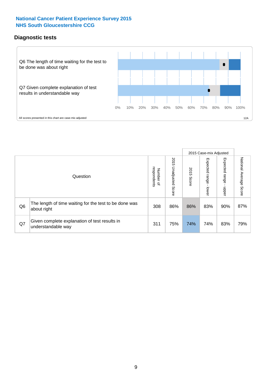#### **Diagnostic tests**



|                |                                                                       |                                       |                             |               | 2015 Case-mix Adjusted  |                           |                           |
|----------------|-----------------------------------------------------------------------|---------------------------------------|-----------------------------|---------------|-------------------------|---------------------------|---------------------------|
|                | Question                                                              | respondents<br>Number<br>$\mathbf{Q}$ | 2015<br>Unadjusted<br>Score | 2015<br>Score | Expected range<br>lower | Expected<br>ange<br>nbber | National Average<br>Score |
| Q <sub>6</sub> | The length of time waiting for the test to be done was<br>about right | 308                                   | 86%                         | 86%           | 83%                     | 90%                       | 87%                       |
| Q7             | Given complete explanation of test results in<br>understandable way   | 311                                   | 75%                         | 74%           | 74%                     | 83%                       | 79%                       |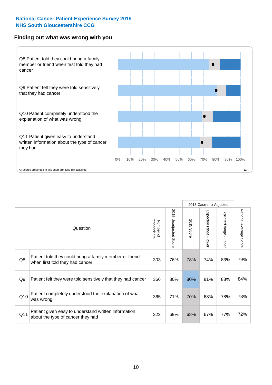#### **Finding out what was wrong with you**



|                |                                                                                            |                          |                       |               | 2015 Case-mix Adjusted    |                                           |                           |
|----------------|--------------------------------------------------------------------------------------------|--------------------------|-----------------------|---------------|---------------------------|-------------------------------------------|---------------------------|
|                | Question                                                                                   | respondents<br>Number of | 2015 Unadjusted Score | 2015<br>Score | Expected range<br>- lower | Expected range<br>$\blacksquare$<br>nbber | National Average<br>Score |
| Q8             | Patient told they could bring a family member or friend<br>when first told they had cancer | 303                      | 76%                   | 78%           | 74%                       | 83%                                       | 79%                       |
| Q <sub>9</sub> | Patient felt they were told sensitively that they had cancer                               | 366                      | 80%                   | 80%           | 81%                       | 88%                                       | 84%                       |
| Q10            | Patient completely understood the explanation of what<br>was wrong                         | 365                      | 71%                   | 70%           | 68%                       | 78%                                       | 73%                       |
| Q11            | Patient given easy to understand written information<br>about the type of cancer they had  | 322                      | 69%                   | 68%           | 67%                       | 77%                                       | 72%                       |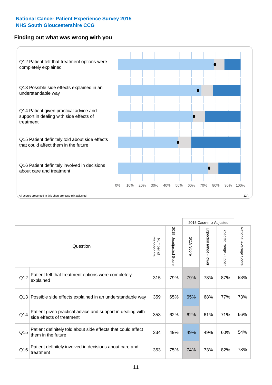#### **Finding out what was wrong with you**



|     |                                                                                         |                          |                                 |               | 2015 Case-mix Adjusted                  |                           |                        |
|-----|-----------------------------------------------------------------------------------------|--------------------------|---------------------------------|---------------|-----------------------------------------|---------------------------|------------------------|
|     | Question                                                                                | respondents<br>Number of | 2015<br><b>Unadjusted Score</b> | 2015<br>Score | Expected range<br>$\mathbf{r}$<br>lower | Expected range -<br>nbber | National Average Score |
| Q12 | Patient felt that treatment options were completely<br>explained                        | 315                      | 79%                             | 79%           | 78%                                     | 87%                       | 83%                    |
| Q13 | Possible side effects explained in an understandable way                                | 359                      | 65%                             | 65%           | 68%                                     | 77%                       | 73%                    |
| Q14 | Patient given practical advice and support in dealing with<br>side effects of treatment | 353                      | 62%                             | 62%           | 61%                                     | 71%                       | 66%                    |
| Q15 | Patient definitely told about side effects that could affect<br>them in the future      | 334                      | 49%                             | 49%           | 49%                                     | 60%                       | 54%                    |
| Q16 | Patient definitely involved in decisions about care and<br>treatment                    | 353                      | 75%                             | 74%           | 73%                                     | 82%                       | 78%                    |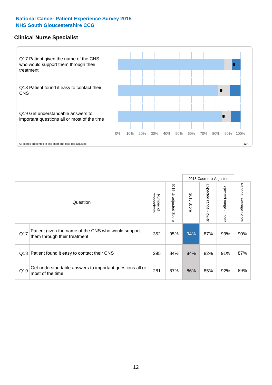#### **Clinical Nurse Specialist**



|     |                                                                                     |                          |                       |               | 2015 Case-mix Adjusted  |                         |                                  |
|-----|-------------------------------------------------------------------------------------|--------------------------|-----------------------|---------------|-------------------------|-------------------------|----------------------------------|
|     | Question                                                                            | Number of<br>respondents | 2015 Unadjusted Score | 2015<br>Score | Expected range<br>lower | Expected range<br>nbber | National Average<br><b>Score</b> |
| Q17 | Patient given the name of the CNS who would support<br>them through their treatment | 352                      | 95%                   | 94%           | 87%                     | 93%                     | 90%                              |
| Q18 | Patient found it easy to contact their CNS                                          | 295                      | 84%                   | 84%           | 82%                     | 91%                     | 87%                              |
| Q19 | Get understandable answers to important questions all or<br>most of the time        | 281                      | 87%                   | 86%           | 85%                     | 92%                     | 89%                              |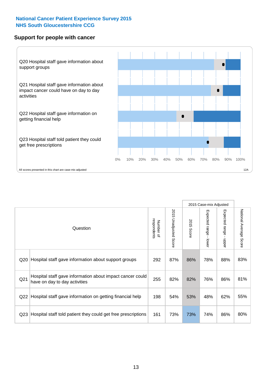#### **Support for people with cancer**



|                 |                                                                                            |                          |                             |               | 2015 Case-mix Adjusted                    |                                           |                        |
|-----------------|--------------------------------------------------------------------------------------------|--------------------------|-----------------------------|---------------|-------------------------------------------|-------------------------------------------|------------------------|
|                 | Question                                                                                   | respondents<br>Number of | 2015<br>Unadjusted<br>Score | 2015<br>Score | Expected range<br>$\blacksquare$<br>lower | Expected range<br>$\blacksquare$<br>nbber | National Average Score |
| Q <sub>20</sub> | Hospital staff gave information about support groups                                       | 292                      | 87%                         | 86%           | 78%                                       | 88%                                       | 83%                    |
| Q <sub>21</sub> | Hospital staff gave information about impact cancer could<br>have on day to day activities | 255                      | 82%                         | 82%           | 76%                                       | 86%                                       | 81%                    |
| Q <sub>22</sub> | Hospital staff gave information on getting financial help                                  | 198                      | 54%                         | 53%           | 48%                                       | 62%                                       | 55%                    |
| Q <sub>23</sub> | Hospital staff told patient they could get free prescriptions                              | 161                      | 73%                         | 73%           | 74%                                       | 86%                                       | 80%                    |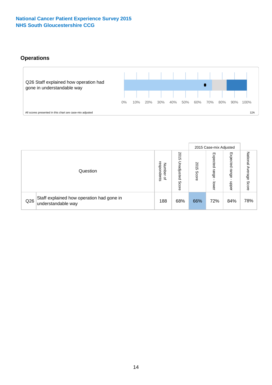### **Operations**



|     |                                                                 |                                         |                             | 2015 Case-mix Adjusted |                            |                           |                              |
|-----|-----------------------------------------------------------------|-----------------------------------------|-----------------------------|------------------------|----------------------------|---------------------------|------------------------------|
|     | Question                                                        | respondents<br>Number<br>$\overline{a}$ | 2015<br>Unadjusted<br>Score | 2015<br>Score          | Expected<br>range<br>lower | Expected<br>range<br>ddoe | National<br>Average<br>Score |
| Q26 | Staff explained how operation had gone in<br>understandable way | 188                                     | 68%                         | 66%                    | 72%                        | 84%                       | 78%                          |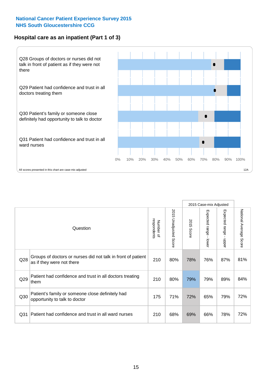#### **Hospital care as an inpatient (Part 1 of 3)**



All scores presented in this chart are case-mix adjusted  $12A$ 

|                 |                                                                                           |                          |                          |                      | 2015 Case-mix Adjusted                    |                                       |                        |
|-----------------|-------------------------------------------------------------------------------------------|--------------------------|--------------------------|----------------------|-------------------------------------------|---------------------------------------|------------------------|
|                 | Question                                                                                  | respondents<br>Number of | 2015<br>Unadjusted Score | 2015<br><b>Score</b> | Expected range<br>$\blacksquare$<br>lower | Expected range<br>$\mathbf{I}$<br>ddo | National Average Score |
| Q28             | Groups of doctors or nurses did not talk in front of patient<br>as if they were not there | 210                      | 80%                      | 78%                  | 76%                                       | 87%                                   | 81%                    |
| Q29             | Patient had confidence and trust in all doctors treating<br>them                          | 210                      | 80%                      | 79%                  | 79%                                       | 89%                                   | 84%                    |
| Q30             | Patient's family or someone close definitely had<br>opportunity to talk to doctor         | 175                      | 71%                      | 72%                  | 65%                                       | 79%                                   | 72%                    |
| Q <sub>31</sub> | Patient had confidence and trust in all ward nurses                                       | 210                      | 68%                      | 69%                  | 66%                                       | 78%                                   | 72%                    |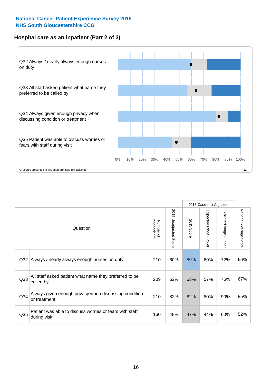#### **Hospital care as an inpatient (Part 2 of 3)**



|     |                                                                         |                          |                             |               | 2015 Case-mix Adjusted |                           |                           |
|-----|-------------------------------------------------------------------------|--------------------------|-----------------------------|---------------|------------------------|---------------------------|---------------------------|
|     | Question                                                                | respondents<br>Number of | 2015<br>Unadjusted<br>Score | 2015<br>Score | Expected range - lower | Expected range<br>- nbber | National Average<br>Score |
| Q32 | Always / nearly always enough nurses on duty                            | 210                      | 60%                         | 59%           | 60%                    | 72%                       | 66%                       |
| Q33 | All staff asked patient what name they preferred to be<br>called by     | 209                      | 62%                         | 63%           | 57%                    | 76%                       | 67%                       |
| Q34 | Always given enough privacy when discussing condition<br>or treatment   | 210                      | 82%                         | 82%           | 80%                    | 90%                       | 85%                       |
| Q35 | Patient was able to discuss worries or fears with staff<br>during visit | 160                      | 48%                         | 47%           | 44%                    | 60%                       | 52%                       |
|     |                                                                         |                          |                             |               |                        |                           |                           |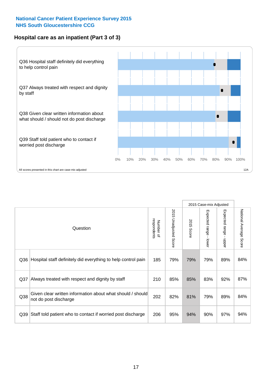#### **Hospital care as an inpatient (Part 3 of 3)**



|     |                                                                                     |                          |                       | 2015 Case-mix Adjusted |                                           |                           |                        |
|-----|-------------------------------------------------------------------------------------|--------------------------|-----------------------|------------------------|-------------------------------------------|---------------------------|------------------------|
|     | Question                                                                            | respondents<br>Number of | 2015 Unadjusted Score | 2015<br>Score          | Expected range<br>$\blacksquare$<br>lower | Expected range -<br>nbber | National Average Score |
| Q36 | Hospital staff definitely did everything to help control pain                       | 185                      | 79%                   | 79%                    | 79%                                       | 89%                       | 84%                    |
| Q37 | Always treated with respect and dignity by staff                                    | 210                      | 85%                   | 85%                    | 83%                                       | 92%                       | 87%                    |
| Q38 | Given clear written information about what should / should<br>not do post discharge | 202                      | 82%                   | 81%                    | 79%                                       | 89%                       | 84%                    |
| Q39 | Staff told patient who to contact if worried post discharge                         | 206                      | 95%                   | 94%                    | 90%                                       | 97%                       | 94%                    |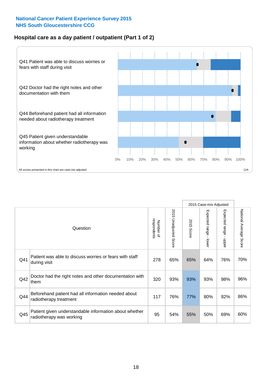#### **Hospital care as a day patient / outpatient (Part 1 of 2)**

![](_page_17_Figure_2.jpeg)

|     |                                                                                    |                          |                                 | 2015 Case-mix Adjusted |                                         |                                         |                        |
|-----|------------------------------------------------------------------------------------|--------------------------|---------------------------------|------------------------|-----------------------------------------|-----------------------------------------|------------------------|
|     | Question                                                                           | respondents<br>Number of | 2015<br><b>Unadjusted Score</b> | 2015<br><b>Score</b>   | Expected range<br>$\mathbf{r}$<br>lower | Expected range<br>$\mathbf{I}$<br>nbber | National Average Score |
| Q41 | Patient was able to discuss worries or fears with staff<br>during visit            | 278                      | 65%                             | 65%                    | 64%                                     | 76%                                     | 70%                    |
| Q42 | Doctor had the right notes and other documentation with<br>them                    | 320                      | 93%                             | 93%                    | 93%                                     | 98%                                     | 96%                    |
| Q44 | Beforehand patient had all information needed about<br>radiotherapy treatment      | 117                      | 76%                             | 77%                    | 80%                                     | 92%                                     | 86%                    |
| Q45 | Patient given understandable information about whether<br>radiotherapy was working | 95                       | 54%                             | 55%                    | 50%                                     | 69%                                     | 60%                    |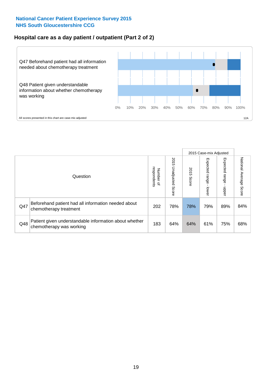### **Hospital care as a day patient / outpatient (Part 2 of 2)**

![](_page_18_Figure_2.jpeg)

|     |                                                                                    |                                   |                             | 2015 Case-mix Adjusted |                              |                         |                           |
|-----|------------------------------------------------------------------------------------|-----------------------------------|-----------------------------|------------------------|------------------------------|-------------------------|---------------------------|
|     | Question                                                                           | respondents<br>Number<br>$\Omega$ | 2015<br>Unadjusted<br>Score | 2015<br>Score          | Expected<br>I range<br>lower | Expected range<br>nbber | National Average<br>Score |
| Q47 | Beforehand patient had all information needed about<br>chemotherapy treatment      | 202                               | 78%                         | 78%                    | 79%                          | 89%                     | 84%                       |
| Q48 | Patient given understandable information about whether<br>chemotherapy was working | 183                               | 64%                         | 64%                    | 61%                          | 75%                     | 68%                       |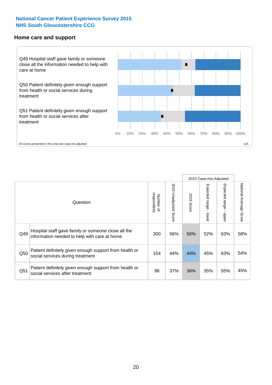#### **Home care and support**

![](_page_19_Figure_2.jpeg)

2015 Case-mix Adjusted 2015 Unadjusted Score Expected range - upper National Average Score 2015 Unadjusted Score Expected range - lower National Average Score Expected range - lower Expected range - upper Number of<br>respondents respondents 2015 Score 2015 Score Number of Question Hospital staff gave family or someone close all the  $Q49$  information needed to help with care at home  $Q49$  56% 56% 52% 63% 58% Patient definitely given enough support from health or  $\frac{150}{\sqrt{15}}$  social services during treatment  $\frac{154}{\sqrt{154}}$   $\frac{44\%}{\sqrt{154}}$   $\frac{44\%}{\sqrt{154}}$   $\frac{44\%}{\sqrt{154}}$   $\frac{44\%}{\sqrt{15}}$   $\frac{45\%}{\sqrt{154}}$  63%  $\frac{54\%}{\sqrt{154}}$ Patient definitely given enough support from health or Q51 social services after treatment<br>
Q51 social services after treatment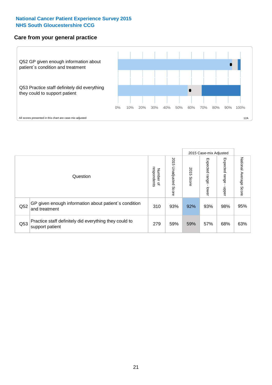#### **Care from your general practice**

![](_page_20_Figure_2.jpeg)

|     |                                                                           |                                       |                             |               |                         | 2015 Case-mix Adjusted       |                           |
|-----|---------------------------------------------------------------------------|---------------------------------------|-----------------------------|---------------|-------------------------|------------------------------|---------------------------|
|     | Question                                                                  | respondents<br>Number<br>$\mathbf{Q}$ | 2015<br>Unadjusted<br>Score | 2015<br>Score | Expected range<br>lower | Expected<br>  range<br>doper | National Average<br>Score |
| Q52 | GP given enough information about patient's condition<br>and treatment    | 310                                   | 93%                         | 92%           | 93%                     | 98%                          | 95%                       |
| Q53 | Practice staff definitely did everything they could to<br>support patient | 279                                   | 59%                         | 59%           | 57%                     | 68%                          | 63%                       |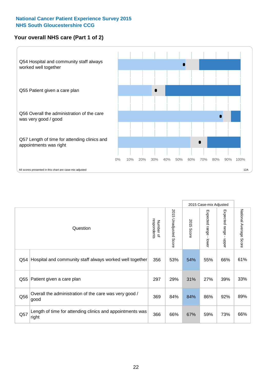#### **Your overall NHS care (Part 1 of 2)**

![](_page_21_Figure_2.jpeg)

|     |                                                                    |                          |                                 | 2015 Case-mix Adjusted |                                           |                                           |                        |
|-----|--------------------------------------------------------------------|--------------------------|---------------------------------|------------------------|-------------------------------------------|-------------------------------------------|------------------------|
|     | Question                                                           | respondents<br>Number of | 2015<br><b>Unadjusted Score</b> | 2015<br><b>Score</b>   | Expected range<br>$\blacksquare$<br>lower | Expected range<br>$\blacksquare$<br>nbber | National Average Score |
| Q54 | Hospital and community staff always worked well together           | 356                      | 53%                             | 54%                    | 55%                                       | 66%                                       | 61%                    |
| Q55 | Patient given a care plan                                          | 297                      | 29%                             | 31%                    | 27%                                       | 39%                                       | 33%                    |
| Q56 | Overall the administration of the care was very good /<br>good     | 369                      | 84%                             | 84%                    | 86%                                       | 92%                                       | 89%                    |
| Q57 | Length of time for attending clinics and appointments was<br>right | 366                      | 66%                             | 67%                    | 59%                                       | 73%                                       | 66%                    |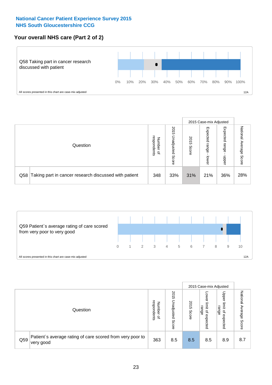#### **Your overall NHS care (Part 2 of 2)**

![](_page_22_Figure_2.jpeg)

|     |                                                       |                                         |                             |               |                            | 2015 Case-mix Adjusted     |                           |
|-----|-------------------------------------------------------|-----------------------------------------|-----------------------------|---------------|----------------------------|----------------------------|---------------------------|
|     | Question                                              | respondents<br>Number<br>$\overline{a}$ | 2015<br>Unadjusted<br>Score | 2015<br>Score | Expected<br>range<br>lower | Expected<br>range<br>doper | National<br>Average Score |
| Q58 | Taking part in cancer research discussed with patient | 348                                     | 33%                         | 31%           | 21%                        | 36%                        | 28%                       |

![](_page_22_Figure_4.jpeg)

|     |                                                                        |                                   |                             |               | 2015 Case-mix Adjusted                  |                                                       |                              |
|-----|------------------------------------------------------------------------|-----------------------------------|-----------------------------|---------------|-----------------------------------------|-------------------------------------------------------|------------------------------|
|     | Question                                                               | respondents<br>Number<br>$\Omega$ | 2015<br>Unadjusted<br>Score | 2015<br>Score | OWer<br>limit<br>range<br>٩<br>expected | Upper<br>limit<br>range<br>$\overline{a}$<br>expected | National<br>Average<br>Score |
| Q59 | Patient's average rating of care scored from very poor to<br>very good | 363                               | 8.5                         | 8.5           | 8.5                                     | 8.9                                                   | 8.7                          |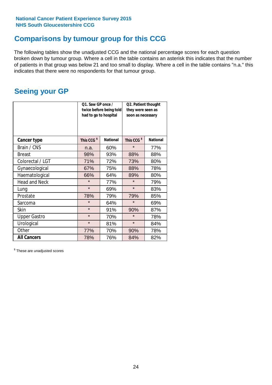### **Comparisons by tumour group for this CCG**

The following tables show the unadjusted CCG and the national percentage scores for each question broken down by tumour group. Where a cell in the table contains an asterisk this indicates that the number of patients in that group was below 21 and too small to display. Where a cell in the table contains "n.a." this indicates that there were no respondents for that tumour group.

### **Seeing your GP**

|                      | Q1. Saw GP once /<br>had to go to hospital | twice before being told | Q2. Patient thought<br>they were seen as<br>soon as necessary |                 |  |
|----------------------|--------------------------------------------|-------------------------|---------------------------------------------------------------|-----------------|--|
| <b>Cancer type</b>   | This CCG <sup>\$</sup>                     | <b>National</b>         | This CCG <sup>\$</sup>                                        | <b>National</b> |  |
| Brain / CNS          | n.a.                                       | 60%                     | $\star$                                                       | 77%             |  |
| <b>Breast</b>        | 98%                                        | 93%                     | 88%                                                           | 88%             |  |
| Colorectal / LGT     | 71%                                        | 72%                     | 73%                                                           | 80%             |  |
| Gynaecological       | 67%                                        | 75%                     | 88%                                                           | 78%             |  |
| Haematological       | 66%                                        | 64%                     | 89%                                                           | 80%             |  |
| <b>Head and Neck</b> | $\star$                                    | 77%                     | $\star$                                                       | 79%             |  |
| Lung                 | $\star$                                    | 69%                     | $\star$                                                       | 83%             |  |
| Prostate             | 78%                                        | 79%                     | 79%                                                           | 85%             |  |
| Sarcoma              | $\star$                                    | 64%                     | $\star$                                                       | 69%             |  |
| Skin                 | $\star$                                    | 91%                     | 90%                                                           | 87%             |  |
| <b>Upper Gastro</b>  | $\star$                                    | 70%                     | $\star$                                                       | 78%             |  |
| Urological           | $\star$                                    | 81%                     | $\star$                                                       | 84%             |  |
| Other                | 77%                                        | 70%                     | 90%                                                           | 78%             |  |
| <b>All Cancers</b>   | 78%                                        | 76%                     | 84%                                                           | 82%             |  |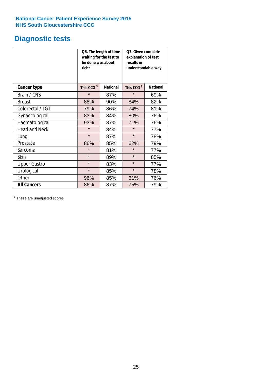### **Diagnostic tests**

|                      | be done was about<br>right | Q6. The length of time<br>waiting for the test to | Q7. Given complete<br>explanation of test<br>results in<br>understandable way |                 |  |
|----------------------|----------------------------|---------------------------------------------------|-------------------------------------------------------------------------------|-----------------|--|
| <b>Cancer type</b>   | This CCG <sup>\$</sup>     | <b>National</b>                                   | This CCG <sup>\$</sup>                                                        | <b>National</b> |  |
| Brain / CNS          | $\star$                    | 87%                                               | $\star$                                                                       | 69%             |  |
| <b>Breast</b>        | 88%                        | 90%                                               | 84%                                                                           | 82%             |  |
| Colorectal / LGT     | 79%                        | 86%                                               | 74%                                                                           | 81%             |  |
| Gynaecological       | 83%                        | 84%                                               |                                                                               | 76%             |  |
| Haematological       | 93%                        | 87%                                               | 71%                                                                           | 76%             |  |
| <b>Head and Neck</b> | $\star$                    | 84%                                               | $\star$                                                                       | 77%             |  |
| Lung                 | $\star$                    | 87%                                               | $\star$                                                                       | 78%             |  |
| Prostate             | 86%                        | 85%                                               | 62%                                                                           | 79%             |  |
| Sarcoma              | $\star$                    | 81%                                               | $\star$                                                                       | 77%             |  |
| Skin                 | $\star$                    | 89%                                               | $\star$                                                                       | 85%             |  |
| <b>Upper Gastro</b>  | $\star$                    | 83%                                               | $\star$                                                                       | 77%             |  |
| Urological           | $\star$                    | 85%                                               | $\star$                                                                       | 78%             |  |
| Other                | 96%                        | 85%                                               | 61%                                                                           | 76%             |  |
| <b>All Cancers</b>   | 86%                        | 87%                                               | 75%                                                                           | 79%             |  |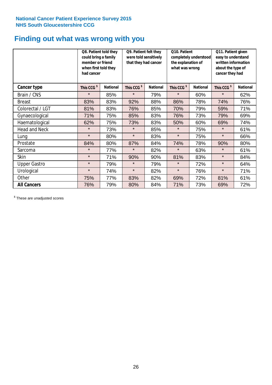### **Finding out what was wrong with you**

|                      | Q8. Patient told they<br>could bring a family<br>member or friend<br>when first told they<br>had cancer |                 | Q9. Patient felt they<br>were told sensitively<br>that they had cancer |                 | Q10. Patient<br>completely understood<br>the explanation of<br>what was wrong |                 | Q11. Patient given<br>easy to understand<br>written information<br>about the type of<br>cancer they had |                 |
|----------------------|---------------------------------------------------------------------------------------------------------|-----------------|------------------------------------------------------------------------|-----------------|-------------------------------------------------------------------------------|-----------------|---------------------------------------------------------------------------------------------------------|-----------------|
| Cancer type          | This CCG <sup>\$</sup>                                                                                  | <b>National</b> | This CCG <sup>\$</sup>                                                 | <b>National</b> | This CCG <sup>\$</sup>                                                        | <b>National</b> | This CCG <sup>\$</sup>                                                                                  | <b>National</b> |
| Brain / CNS          | $\star$                                                                                                 | 85%             | $\star$                                                                | 79%             | $\star$                                                                       | 60%             | $\star$                                                                                                 | 62%             |
| <b>Breast</b>        | 83%                                                                                                     | 83%             | 92%                                                                    | 88%             | 86%                                                                           | 78%             | 74%                                                                                                     | 76%             |
| Colorectal / LGT     | 81%                                                                                                     | 83%             | 76%                                                                    | 85%             | 70%                                                                           | 79%             | 59%                                                                                                     | 71%             |
| Gynaecological       | 71%                                                                                                     | 75%             | 85%                                                                    | 83%             | 76%                                                                           | 73%             | 79%                                                                                                     | 69%             |
| Haematological       | 62%                                                                                                     | 75%             | 73%                                                                    | 83%             | 50%                                                                           | 60%             | 69%                                                                                                     | 74%             |
| <b>Head and Neck</b> | $\star$                                                                                                 | 73%             | $\star$                                                                | 85%             | $\star$                                                                       | 75%             | $\star$                                                                                                 | 61%             |
| Lung                 | $\star$                                                                                                 | 80%             | $\star$                                                                | 83%             | $\star$                                                                       | 75%             | $\star$                                                                                                 | 66%             |
| Prostate             | 84%                                                                                                     | 80%             | 87%                                                                    | 84%             | 74%                                                                           | 78%             | 90%                                                                                                     | 80%             |
| Sarcoma              | $\star$                                                                                                 | 77%             | $\star$                                                                | 82%             | $\star$                                                                       | 63%             | $\star$                                                                                                 | 61%             |
| Skin                 | $\star$                                                                                                 | 71%             | 90%                                                                    | 90%             | 81%                                                                           | 83%             | $\star$                                                                                                 | 84%             |
| <b>Upper Gastro</b>  | $\star$                                                                                                 | 79%             | $\star$                                                                | 79%             | $\star$                                                                       | 72%             | $\star$                                                                                                 | 64%             |
| Urological           | $\star$                                                                                                 | 74%             | $\star$                                                                | 82%             | $\star$                                                                       | 76%             | $\star$                                                                                                 | 71%             |
| Other                | 75%                                                                                                     | 77%             | 83%                                                                    | 82%             | 69%                                                                           | 72%             | 81%                                                                                                     | 61%             |
| <b>All Cancers</b>   | 76%                                                                                                     | 79%             | 80%                                                                    | 84%             | 71%                                                                           | 73%             | 69%                                                                                                     | 72%             |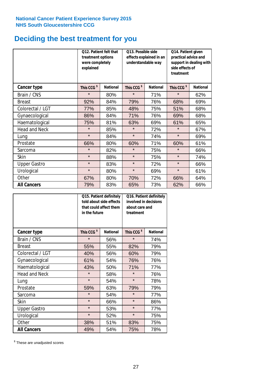### **Deciding the best treatment for you**

|                      | treatment options<br>were completely<br>explained | 012. Patient felt that | O13. Possible side<br>understandable way | effects explained in an | Q14. Patient given<br>practical advice and<br>support in dealing with<br>side effects of<br>treatment |                 |  |
|----------------------|---------------------------------------------------|------------------------|------------------------------------------|-------------------------|-------------------------------------------------------------------------------------------------------|-----------------|--|
| <b>Cancer type</b>   | This CCG <sup>\$</sup>                            | <b>National</b>        | This CCG <sup>\$</sup>                   | <b>National</b>         | This CCG <sup>\$</sup>                                                                                | <b>National</b> |  |
| Brain / CNS          | $\star$                                           | 80%                    | $\star$                                  | 71%                     | $\star$                                                                                               | 62%             |  |
| <b>Breast</b>        | 92%                                               | 84%                    | 79%                                      | 76%                     | 68%                                                                                                   | 69%             |  |
| Colorectal / LGT     | 77%                                               | 85%                    | 48%                                      | 75%                     | 51%                                                                                                   | 68%             |  |
| Gynaecological       | 86%                                               | 84%                    | 71%                                      | 76%                     | 69%                                                                                                   | 68%             |  |
| Haematological       | 75%                                               | 81%                    | 63%                                      | 69%                     | 61%                                                                                                   | 65%             |  |
| <b>Head and Neck</b> | $\star$                                           | 85%                    | $\star$                                  | 72%                     | $\star$                                                                                               | 67%             |  |
| Lung                 | $\star$                                           | 84%                    | $\star$                                  | 74%                     | $\star$                                                                                               | 69%             |  |
| Prostate             | 66%                                               | 80%                    | 60%                                      | 71%                     | 60%                                                                                                   | 61%             |  |
| Sarcoma              | $\star$                                           | 82%                    | $\star$                                  | 75%                     | $\star$                                                                                               | 66%             |  |
| Skin                 | $\star$                                           | 88%                    | $\star$                                  | 75%                     | $\star$                                                                                               | 74%             |  |
| <b>Upper Gastro</b>  | $\star$                                           | 83%                    | $\star$                                  | 72%                     | $\star$                                                                                               | 66%             |  |
| Urological           | $\star$                                           | 80%                    | $\star$                                  | 69%                     | $\star$                                                                                               | 61%             |  |
| Other                | 67%                                               | 80%                    | 70%                                      | 72%                     | 66%                                                                                                   | 64%             |  |
| <b>All Cancers</b>   | 79%                                               | 83%                    | 65%                                      | 73%                     | 62%                                                                                                   | 66%             |  |

|                      | in the future          | Q15. Patient definitely<br>told about side effects<br>that could affect them | Q16. Patient definitely<br>involved in decisions<br>about care and<br>treatment |                 |  |
|----------------------|------------------------|------------------------------------------------------------------------------|---------------------------------------------------------------------------------|-----------------|--|
| <b>Cancer type</b>   | This CCG <sup>\$</sup> | <b>National</b>                                                              | This CCG <sup>\$</sup>                                                          | <b>National</b> |  |
| Brain / CNS          | $\star$                | 56%                                                                          | $\star$                                                                         | 74%             |  |
| <b>Breast</b>        | 55%                    | 55%                                                                          | 82%                                                                             | 79%             |  |
| Colorectal / LGT     | 40%                    | 56%                                                                          | 60%                                                                             | 79%             |  |
| Gynaecological       | 61%<br>54%             |                                                                              | 76%                                                                             | 76%             |  |
| Haematological       | 43%                    | 50%                                                                          | 71%                                                                             | 77%             |  |
| <b>Head and Neck</b> | $\star$                | 58%                                                                          | $\star$                                                                         | 76%             |  |
| Lung                 | $\star$                | 54%                                                                          | $\star$                                                                         | 78%             |  |
| Prostate             | 59%                    | 63%                                                                          | 79%                                                                             | 79%             |  |
| Sarcoma              | $\star$                | 54%                                                                          | $\star$                                                                         | 77%             |  |
| Skin                 | $\star$                | 66%                                                                          | $\star$                                                                         | 86%             |  |
| <b>Upper Gastro</b>  | $\star$                | 53%                                                                          | $\star$                                                                         | 77%             |  |
| Urological           | $\star$                | 52%                                                                          | $\star$                                                                         | 75%             |  |
| Other                | 38%                    | 51%                                                                          | 83%                                                                             | 75%             |  |
| <b>All Cancers</b>   | 49%                    | 54%                                                                          | 75%                                                                             | 78%             |  |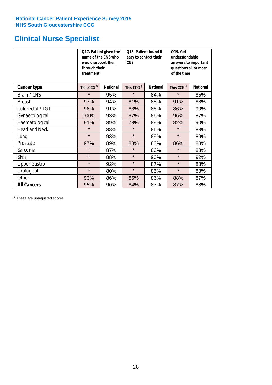### **Clinical Nurse Specialist**

|                      | would support them<br>through their<br>treatment | Q17. Patient given the<br>name of the CNS who | Q18. Patient found it<br>easy to contact their<br><b>CNS</b> |                 | <b>Q19. Get</b><br>understandable<br>answers to important<br>questions all or most<br>of the time |                 |
|----------------------|--------------------------------------------------|-----------------------------------------------|--------------------------------------------------------------|-----------------|---------------------------------------------------------------------------------------------------|-----------------|
| <b>Cancer type</b>   | This CCG <sup>\$</sup>                           | <b>National</b>                               | This CCG <sup>\$</sup>                                       | <b>National</b> | This CCG <sup>\$</sup>                                                                            | <b>National</b> |
| Brain / CNS          | $\star$                                          | 95%                                           | $\star$                                                      | 84%             | $\star$                                                                                           | 85%             |
| <b>Breast</b>        | 97%                                              | 94%                                           | 81%                                                          | 85%             | 91%                                                                                               | 88%             |
| Colorectal / LGT     | 98%                                              | 91%                                           | 83%                                                          | 88%             | 86%                                                                                               | 90%             |
| Gynaecological       | 100%                                             | 93%                                           | 97%<br>86%                                                   |                 | 96%                                                                                               | 87%             |
| Haematological       | 91%                                              | 89%                                           | 78%                                                          | 89%             | 82%                                                                                               | 90%             |
| <b>Head and Neck</b> | $\star$                                          | 88%                                           | $\star$                                                      | 86%             | $\star$                                                                                           | 88%             |
| Lung                 | $\star$                                          | 93%                                           | $\star$                                                      | 89%             | $\star$                                                                                           | 89%             |
| Prostate             | 97%                                              | 89%                                           | 83%                                                          | 83%             | 86%                                                                                               | 88%             |
| Sarcoma              | $\star$                                          | 87%                                           | $\star$                                                      | 86%             | $\star$                                                                                           | 88%             |
| Skin                 | $\star$                                          | 88%                                           | $\star$                                                      | 90%             | $\star$                                                                                           | 92%             |
| <b>Upper Gastro</b>  | $\star$                                          | 92%                                           | $\star$                                                      | 87%             | $\star$                                                                                           | 88%             |
| Urological           | $\star$                                          | 80%                                           | $\star$                                                      | 85%             | $\star$                                                                                           | 88%             |
| Other                | 93%                                              | 86%                                           | 85%                                                          | 86%             | 88%                                                                                               | 87%             |
| <b>All Cancers</b>   | 95%                                              | 90%                                           | 84%                                                          | 87%             | 87%                                                                                               | 88%             |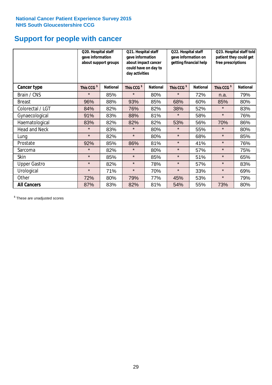### **Support for people with cancer**

|                      | Q20. Hospital staff<br>gave information | about support groups | Q21. Hospital staff<br>gave information<br>about impact cancer<br>could have on day to<br>day activities |                 | Q22. Hospital staff<br>gave information on<br>getting financial help |                 | Q23. Hospital staff told<br>patient they could get<br>free prescriptions |                 |
|----------------------|-----------------------------------------|----------------------|----------------------------------------------------------------------------------------------------------|-----------------|----------------------------------------------------------------------|-----------------|--------------------------------------------------------------------------|-----------------|
| <b>Cancer type</b>   | This CCG <sup>\$</sup>                  | <b>National</b>      | This CCG <sup>\$</sup>                                                                                   | <b>National</b> | This CCG <sup>\$</sup>                                               | <b>National</b> | This CCG <sup>\$</sup>                                                   | <b>National</b> |
| Brain / CNS          | $\star$                                 | 85%                  | $\star$                                                                                                  | 80%             | $\star$                                                              | 72%             | n.a.                                                                     | 79%             |
| <b>Breast</b>        | 96%                                     | 88%                  | 93%                                                                                                      | 85%             | 68%                                                                  | 60%             | 85%                                                                      | 80%             |
| Colorectal / LGT     | 84%                                     | 82%                  | 76%                                                                                                      | 82%             | 38%                                                                  | 52%             | $\star$                                                                  | 83%             |
| Gynaecological       | 91%                                     | 83%                  | 88%                                                                                                      | 81%             | $\star$                                                              | 58%             | $\star$                                                                  | 76%             |
| Haematological       | 83%                                     | 82%                  | 82%                                                                                                      | 82%             | 53%                                                                  | 56%             | 70%                                                                      | 86%             |
| <b>Head and Neck</b> | $\star$                                 | 83%                  | $\star$                                                                                                  | 80%             | $\star$                                                              | 55%             | $\star$                                                                  | 80%             |
| Lung                 | $\star$                                 | 82%                  | $\star$                                                                                                  | 80%             | $\star$                                                              | 68%             | $\star$                                                                  | 85%             |
| Prostate             | 92%                                     | 85%                  | 86%                                                                                                      | 81%             | $\star$                                                              | 41%             | $\star$                                                                  | 76%             |
| Sarcoma              | $\star$                                 | 82%                  | $\star$                                                                                                  | 80%             | $\star$                                                              | 57%             | $\star$                                                                  | 75%             |
| Skin                 | $\star$                                 | 85%                  | $\star$                                                                                                  | 85%             | $\star$                                                              | 51%             | $\star$                                                                  | 65%             |
| <b>Upper Gastro</b>  | $\star$                                 | 82%                  | $\star$                                                                                                  | 78%             | $\star$                                                              | 57%             | $\star$                                                                  | 83%             |
| Urological           | $\star$                                 | 71%                  | $\star$                                                                                                  | 70%             | $\star$                                                              | 33%             | $\star$                                                                  | 69%             |
| Other                | 72%                                     | 80%                  | 79%                                                                                                      | 77%             | 45%                                                                  | 53%             | $\star$                                                                  | 79%             |
| <b>All Cancers</b>   | 87%                                     | 83%                  | 82%                                                                                                      | 81%             | 54%                                                                  | 55%             | 73%                                                                      | 80%             |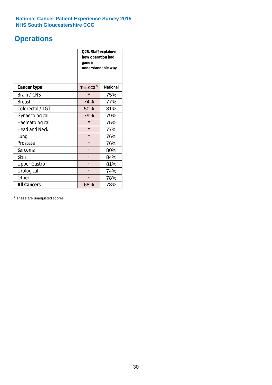### **Operations**

|                      | Q26. Staff explained<br>how operation had<br>gone in<br>understandable way |                 |  |  |
|----------------------|----------------------------------------------------------------------------|-----------------|--|--|
| <b>Cancer type</b>   | This CCG <sup>\$</sup>                                                     | <b>National</b> |  |  |
| Brain / CNS          | $\star$                                                                    | 75%             |  |  |
| <b>Breast</b>        | 74%                                                                        | 77%             |  |  |
| Colorectal / LGT     | 50%                                                                        | 81%             |  |  |
| Gynaecological       | 79%<br>79%                                                                 |                 |  |  |
| Haematological       | $\star$<br>75%                                                             |                 |  |  |
| <b>Head and Neck</b> | $\star$                                                                    | 77%             |  |  |
| Lung                 | $\star$                                                                    | 76%             |  |  |
| Prostate             | $\star$                                                                    | 76%             |  |  |
| Sarcoma              | $\star$                                                                    | 80%             |  |  |
| Skin                 | $\star$                                                                    | 84%             |  |  |
| <b>Upper Gastro</b>  | $\star$                                                                    | 81%             |  |  |
| Urological           | $\star$                                                                    | 74%             |  |  |
| Other                | $\star$<br>78%                                                             |                 |  |  |
| <b>All Cancers</b>   | 68%                                                                        | 78%             |  |  |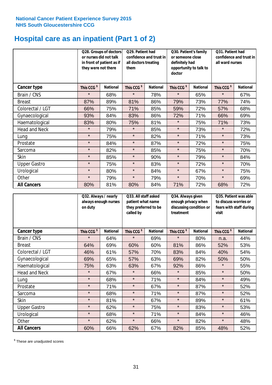# **Hospital care as an inpatient (Part 1 of 2)**

|                      | or nurses did not talk<br>they were not there | Q28. Groups of doctors<br>in front of patient as if | Q29. Patient had<br>confidence and trust in<br>all doctors treating<br>them |                 | Q30. Patient's family<br>or someone close<br>definitely had<br>opportunity to talk to<br>doctor |                 | Q31. Patient had<br>confidence and trust in I<br>all ward nurses |                 |
|----------------------|-----------------------------------------------|-----------------------------------------------------|-----------------------------------------------------------------------------|-----------------|-------------------------------------------------------------------------------------------------|-----------------|------------------------------------------------------------------|-----------------|
| Cancer type          | This CCG <sup>\$</sup>                        | <b>National</b>                                     | This CCG <sup>\$</sup>                                                      | <b>National</b> | This CCG <sup>\$</sup>                                                                          | <b>National</b> | This CCG <sup>\$</sup>                                           | <b>National</b> |
| Brain / CNS          | $\star$                                       | 68%                                                 | $\star$                                                                     | 78%             | $\star$                                                                                         | 65%             | $\star$                                                          | 67%             |
| <b>Breast</b>        | 87%                                           | 89%                                                 | 81%                                                                         | 86%             | 79%                                                                                             | 73%             | 77%                                                              | 74%             |
| Colorectal / LGT     | 66%                                           | 75%                                                 | 71%                                                                         | 85%             | 59%                                                                                             | 72%             | 57%                                                              | 68%             |
| Gynaecological       | 93%                                           | 84%                                                 | 83%                                                                         | 86%             | 72%                                                                                             | 71%             | 66%                                                              | 69%             |
| Haematological       | 83%                                           | 80%                                                 | 75%                                                                         | 81%             | $\star$                                                                                         | 75%             | 71%                                                              | 73%             |
| <b>Head and Neck</b> | $\star$                                       | 79%                                                 | $\star$                                                                     | 85%             | $\star$                                                                                         | 73%             | $\star$                                                          | 72%             |
| Lung                 | $\star$                                       | 75%                                                 | $\star$                                                                     | 82%             | $\star$                                                                                         | 71%             | $\star$                                                          | 73%             |
| Prostate             | $\star$                                       | 84%                                                 | $\star$                                                                     | 87%             | $\star$                                                                                         | 72%             | $\star$                                                          | 75%             |
| Sarcoma              | $\star$                                       | 82%                                                 | $\star$                                                                     | 85%             | $\star$                                                                                         | 75%             | $\star$                                                          | 70%             |
| Skin                 | $\star$                                       | 85%                                                 | $\star$                                                                     | 90%             | $\star$                                                                                         | 79%             | $\star$                                                          | 84%             |
| <b>Upper Gastro</b>  | $\star$                                       | 75%                                                 | $\star$                                                                     | 83%             | $\star$                                                                                         | 72%             | $\star$                                                          | 70%             |
| Urological           | $\star$                                       | 80%                                                 | $\star$                                                                     | 84%             | $\star$                                                                                         | 67%             | $\star$                                                          | 75%             |
| Other                | $\star$                                       | 79%                                                 | $\star$                                                                     | 79%             | $\star$                                                                                         | 70%             | $\star$                                                          | 69%             |
| <b>All Cancers</b>   | 80%                                           | 81%                                                 | 80%                                                                         | 84%             | 71%                                                                                             | 72%             | 68%                                                              | 72%             |

|                      | Q32. Always / nearly<br>always enough nurses<br>on duty |                 | Q33. All staff asked<br>patient what name<br>they preferred to be<br>called by |                 | Q34. Always given<br>enough privacy when<br>discussing condition or<br>treatment |                 | Q35. Patient was able<br>to discuss worries or<br>fears with staff during<br>visit |                 |
|----------------------|---------------------------------------------------------|-----------------|--------------------------------------------------------------------------------|-----------------|----------------------------------------------------------------------------------|-----------------|------------------------------------------------------------------------------------|-----------------|
| <b>Cancer type</b>   | This CCG <sup>\$</sup>                                  | <b>National</b> | This CCG <sup>\$</sup>                                                         | <b>National</b> | This CCG <sup>\$</sup>                                                           | <b>National</b> | This CCG <sup>\$</sup>                                                             | <b>National</b> |
| Brain / CNS          | $\star$                                                 | 64%             | $\star$                                                                        | 69%             | $\star$                                                                          | 80%             | n.a.                                                                               | 44%             |
| <b>Breast</b>        | 64%                                                     | 69%             | 60%                                                                            | 60%             | 81%                                                                              | 86%             | 52%                                                                                | 53%             |
| Colorectal / LGT     | 46%                                                     | 61%             | 57%                                                                            | 70%             | 83%                                                                              | 84%             | 40%                                                                                | 54%             |
| Gynaecological       | 69%                                                     | 65%             | 57%                                                                            | 63%             | 69%                                                                              | 82%             | 50%                                                                                | 50%             |
| Haematological       | 75%                                                     | 63%             | 63%                                                                            | 67%             | 92%                                                                              | 86%             | $\star$                                                                            | 55%             |
| <b>Head and Neck</b> | $\star$                                                 | 67%             | $\star$                                                                        | 66%             | $\star$                                                                          | 85%             | $\star$                                                                            | 50%             |
| Lung                 | $\star$                                                 | 68%             | $\star$                                                                        | 71%             | $\star$                                                                          | 84%             | $\star$                                                                            | 49%             |
| Prostate             | $\star$                                                 | 71%             | $\star$                                                                        | 67%             | $\star$                                                                          | 87%             | $\star$                                                                            | 52%             |
| Sarcoma              | $\star$                                                 | 68%             | $\star$                                                                        | 71%             | $\star$                                                                          | 87%             | $\star$                                                                            | 52%             |
| Skin                 | $\star$                                                 | 81%             | $\star$                                                                        | 67%             | $\star$                                                                          | 89%             | $\star$                                                                            | 61%             |
| <b>Upper Gastro</b>  | $\star$                                                 | 62%             | $\star$                                                                        | 75%             | $\star$                                                                          | 83%             | $\star$                                                                            | 53%             |
| Urological           | $\star$                                                 | 68%             | $\star$                                                                        | 71%             | $\star$                                                                          | 84%             | $\star$                                                                            | 46%             |
| Other                | $\star$                                                 | 62%             | $\star$                                                                        | 66%             | $\star$                                                                          | 82%             | $\star$                                                                            | 48%             |
| <b>All Cancers</b>   | 60%                                                     | 66%             | 62%                                                                            | 67%             | 82%                                                                              | 85%             | 48%                                                                                | 52%             |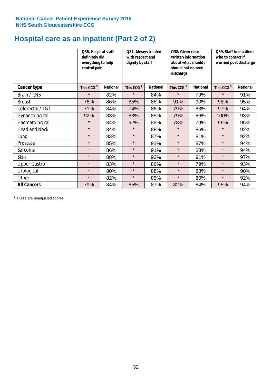# **Hospital care as an inpatient (Part 2 of 2)**

|                      | Q36. Hospital staff<br>definitely did<br>everything to help<br>control pain |                 | Q37. Always treated<br>with respect and<br>dignity by staff |                 | Q38. Given clear<br>written information<br>about what should /<br>should not do post<br>discharge |                 | Q39. Staff told patient<br>who to contact if<br>worried post discharge |                 |  |
|----------------------|-----------------------------------------------------------------------------|-----------------|-------------------------------------------------------------|-----------------|---------------------------------------------------------------------------------------------------|-----------------|------------------------------------------------------------------------|-----------------|--|
| Cancer type          | This CCG <sup>\$</sup>                                                      | <b>National</b> | This CCG <sup>\$</sup>                                      | <b>National</b> | This CCG <sup>\$</sup>                                                                            | <b>National</b> | This CCG <sup>\$</sup>                                                 | <b>National</b> |  |
| Brain / CNS          | $\star$                                                                     | 82%             | $\star$                                                     | 84%             | $\star$                                                                                           | 79%             | $\star$                                                                | 91%             |  |
| <b>Breast</b>        | 76%                                                                         | 86%             | 85%                                                         | 88%             | 91%                                                                                               | 90%             | 98%                                                                    | 95%             |  |
| Colorectal / LGT     | 71%                                                                         | 84%             | 74%                                                         | 86%             | 79%                                                                                               | 83%             | 97%                                                                    | 94%             |  |
| Gynaecological       | 92%                                                                         | 83%             | 83%                                                         | 85%             | 79%                                                                                               | 86%             | 100%                                                                   | 93%             |  |
| Haematological       | $\star$                                                                     | 84%             | 92%                                                         | 89%             | 78%                                                                                               | 79%             | 96%                                                                    | 95%             |  |
| <b>Head and Neck</b> | $\star$                                                                     | 84%             | $\star$                                                     | 88%             | $\star$                                                                                           | 86%             | $\star$                                                                | 92%             |  |
| Lung                 | $\star$                                                                     | 83%             | $\star$                                                     | 87%             | $\star$                                                                                           | 81%             | $\star$                                                                | 92%             |  |
| Prostate             | $\star$                                                                     | 85%             | $\star$                                                     | 91%             | $\star$                                                                                           | 87%             | $\star$                                                                | 94%             |  |
| Sarcoma              | $\star$                                                                     | 86%             | $\star$                                                     | 91%             | $\star$                                                                                           | 83%             | $\star$                                                                | 94%             |  |
| Skin                 | $\star$                                                                     | 88%             | $\star$                                                     | 93%             | $\star$                                                                                           | 91%             | $\star$                                                                | 97%             |  |
| <b>Upper Gastro</b>  | $\star$                                                                     | 83%             | $\star$                                                     | 86%             | $\star$                                                                                           | 79%             | $\star$                                                                | 93%             |  |
| Urological           | $\star$                                                                     | 80%             | $\star$                                                     | 88%             | $\star$                                                                                           | 83%             | $\star$                                                                | 90%             |  |
| Other                | $\star$                                                                     | 82%             | $\star$                                                     | 85%             | $\star$                                                                                           | 80%             | $\star$                                                                | 92%             |  |
| <b>All Cancers</b>   | 79%                                                                         | 84%             | 85%                                                         | 87%             | 82%                                                                                               | 84%             | 95%                                                                    | 94%             |  |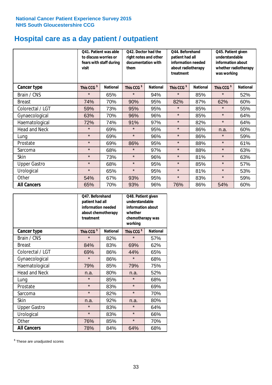# **Hospital care as a day patient / outpatient**

|                      | to discuss worries or<br>visit | Q41. Patient was able<br>fears with staff during | Q42. Doctor had the<br>right notes and other<br>documentation with<br>them |                 | Q44. Beforehand<br>patient had all<br>information needed<br>about radiotherapy<br>treatment |                 | Q45. Patient given<br>understandable<br>information about<br>whether radiotherapy<br>was working |                 |
|----------------------|--------------------------------|--------------------------------------------------|----------------------------------------------------------------------------|-----------------|---------------------------------------------------------------------------------------------|-----------------|--------------------------------------------------------------------------------------------------|-----------------|
| Cancer type          | This CCG <sup>\$</sup>         | <b>National</b>                                  | This CCG <sup>\$</sup>                                                     | <b>National</b> | This CCG <sup>\$</sup>                                                                      | <b>National</b> | This CCG <sup>\$</sup>                                                                           | <b>National</b> |
| Brain / CNS          | $\star$                        | 65%                                              | $\star$                                                                    | 94%             | $\star$                                                                                     | 85%             | $\star$                                                                                          | 52%             |
| <b>Breast</b>        | 74%                            | 70%                                              | 90%                                                                        | 95%             | 82%                                                                                         | 87%             | 62%                                                                                              | 60%             |
| Colorectal / LGT     | 59%                            | 73%                                              | 95%                                                                        | 95%             | $\star$                                                                                     | 85%             | $\star$                                                                                          | 55%             |
| Gynaecological       | 63%                            | 70%                                              | 96%                                                                        | 96%             | $\star$                                                                                     | 85%             | $\star$                                                                                          | 64%             |
| Haematological       | 72%                            | 74%                                              | 91%                                                                        | 97%             | $\star$                                                                                     | 82%             | $\star$                                                                                          | 64%             |
| <b>Head and Neck</b> | $\star$                        | 69%                                              | $\star$                                                                    | 95%             | $\star$                                                                                     | 86%             | n.a.                                                                                             | 60%             |
| Lung                 | $\star$                        | 69%                                              | $\star$                                                                    | 96%             | $\star$                                                                                     | 86%             | $\star$                                                                                          | 59%             |
| Prostate             | $\star$                        | 69%                                              | 86%                                                                        | 95%             | $\star$                                                                                     | 88%             | $\star$                                                                                          | 61%             |
| Sarcoma              | $\star$                        | 68%                                              | $\star$                                                                    | 97%             | $\star$                                                                                     | 88%             | $\star$                                                                                          | 63%             |
| Skin                 | $\star$                        | 73%                                              | $\star$                                                                    | 96%             | $\star$                                                                                     | 81%             | $\star$                                                                                          | 63%             |
| <b>Upper Gastro</b>  | $\star$                        | 68%                                              | $\star$                                                                    | 95%             | $\star$                                                                                     | 85%             | $\star$                                                                                          | 57%             |
| Urological           | $\star$                        | 65%                                              | $\star$                                                                    | 95%             | $\star$                                                                                     | 81%             | $\star$                                                                                          | 53%             |
| Other                | 54%                            | 67%                                              | 93%                                                                        | 95%             | $\star$                                                                                     | 83%             | $\star$                                                                                          | 59%             |
| <b>All Cancers</b>   | 65%                            | 70%                                              | 93%                                                                        | 96%             | 76%                                                                                         | 86%             | 54%                                                                                              | 60%             |

|                      | Q47. Beforehand<br>patient had all<br>information needed<br>about chemotherapy<br>treatment |                 | Q48. Patient given<br>understandable<br>information about<br>whether<br>chemotherapy was<br>working |                 |  |
|----------------------|---------------------------------------------------------------------------------------------|-----------------|-----------------------------------------------------------------------------------------------------|-----------------|--|
| <b>Cancer type</b>   | This CCG <sup>\$</sup>                                                                      | <b>National</b> | This CCG <sup>\$</sup>                                                                              | <b>National</b> |  |
| Brain / CNS          | $\star$                                                                                     | 82%             | $\star$                                                                                             | 57%             |  |
| <b>Breast</b>        | 84%                                                                                         | 83%             | 69%                                                                                                 | 62%             |  |
| Colorectal / LGT     | 69%                                                                                         | 86%             | 44%                                                                                                 | 65%             |  |
| Gynaecological       | $\star$                                                                                     | 86%             | $\star$                                                                                             | 68%             |  |
| Haematological       | 85%<br>79%                                                                                  |                 | 79%                                                                                                 | 75%             |  |
| <b>Head and Neck</b> | n.a.                                                                                        | 80%             | n.a.                                                                                                | 52%             |  |
| Lung                 | $\star$                                                                                     | 85%             | $\star$                                                                                             | 68%             |  |
| Prostate             | $\star$                                                                                     | 83%             | $\star$                                                                                             | 69%             |  |
| Sarcoma              | $\star$                                                                                     | 82%             | $\star$                                                                                             | 70%             |  |
| <b>Skin</b>          | n.a.                                                                                        | 92%             | n.a.                                                                                                | 80%             |  |
| <b>Upper Gastro</b>  | $\star$                                                                                     | 83%             | $\star$                                                                                             | 64%             |  |
| Urological           | $\star$                                                                                     | 83%             | $\star$                                                                                             | 66%             |  |
| Other                | 76%                                                                                         | 85%             | $\star$                                                                                             | 70%             |  |
| <b>All Cancers</b>   | 78%                                                                                         | 84%             | 64%                                                                                                 | 68%             |  |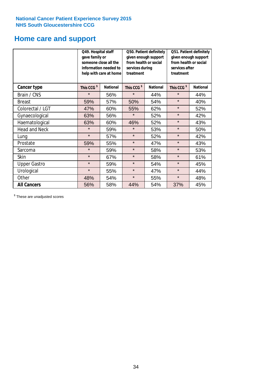# **Home care and support**

|                      | Q49. Hospital staff<br>gave family or | someone close all the<br>information needed to<br>help with care at home | Q50. Patient definitely<br>given enough support<br>from health or social<br>services during<br>treatment |                 | Q51. Patient definitely<br>given enough support<br>from health or social<br>services after<br>treatment |                 |
|----------------------|---------------------------------------|--------------------------------------------------------------------------|----------------------------------------------------------------------------------------------------------|-----------------|---------------------------------------------------------------------------------------------------------|-----------------|
| <b>Cancer type</b>   | This CCG <sup>\$</sup>                | <b>National</b><br>This CCG <sup>\$</sup>                                |                                                                                                          | <b>National</b> | This CCG <sup>\$</sup>                                                                                  | <b>National</b> |
| Brain / CNS          | $\star$                               | 56%                                                                      | $\star$                                                                                                  | 44%             | $\star$                                                                                                 | 44%             |
| <b>Breast</b>        | 59%                                   | 57%                                                                      | 50%                                                                                                      | 54%             | $\star$                                                                                                 | 40%             |
| Colorectal / LGT     | 47%                                   | 60%                                                                      | 55%                                                                                                      | 62%             | $\star$                                                                                                 | 52%             |
| Gynaecological       | 63%                                   | 56%                                                                      | $\star$<br>52%                                                                                           |                 | $\star$                                                                                                 | 42%             |
| Haematological       | 63%                                   | 60%                                                                      | 46%                                                                                                      | 52%             | $\star$                                                                                                 | 43%             |
| <b>Head and Neck</b> | $\star$                               | 59%                                                                      | $\star$                                                                                                  | 53%             | $\star$                                                                                                 | 50%             |
| Lung                 | $\star$                               | 57%                                                                      | $\star$                                                                                                  | 52%             | $\star$                                                                                                 | 42%             |
| Prostate             | 59%                                   | 55%                                                                      | $\star$                                                                                                  | 47%             | $\star$                                                                                                 | 43%             |
| Sarcoma              | $\star$                               | 59%                                                                      | $\star$                                                                                                  | 58%             | $\star$                                                                                                 | 53%             |
| Skin                 | $\star$                               | 67%                                                                      | $\star$                                                                                                  | 58%             | $\star$                                                                                                 | 61%             |
| <b>Upper Gastro</b>  | $\star$                               | 59%                                                                      | $\star$                                                                                                  | 54%             | $\star$                                                                                                 | 45%             |
| Urological           | $\star$                               | 55%                                                                      | $\star$                                                                                                  | 47%             | $\star$                                                                                                 | 44%             |
| Other                | 48%                                   | 54%                                                                      | $\star$                                                                                                  | 55%             | $\star$                                                                                                 | 48%             |
| <b>All Cancers</b>   | 56%                                   | 58%                                                                      | 44%                                                                                                      | 54%             | 37%                                                                                                     | 45%             |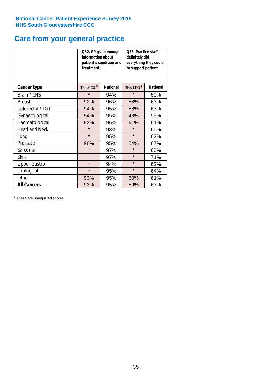### **Care from your general practice**

|                      | information about<br>treatment | Q52. GP given enough<br>patient's condition and | O53. Practice staff<br>definitely did<br>everything they could<br>to support patient |                 |  |
|----------------------|--------------------------------|-------------------------------------------------|--------------------------------------------------------------------------------------|-----------------|--|
| <b>Cancer type</b>   | This CCG <sup>\$</sup>         | <b>National</b>                                 | This CCG <sup>\$</sup>                                                               | <b>National</b> |  |
| Brain / CNS          | $\star$                        | 94%                                             | $\star$                                                                              | 59%             |  |
| <b>Breast</b>        | 92%                            | 96%                                             | 58%                                                                                  | 63%             |  |
| Colorectal / LGT     | 94%                            | 95%                                             | 58%                                                                                  | 63%             |  |
| Gynaecological       | 94%<br>95%                     |                                                 | 48%                                                                                  | 59%             |  |
| Haematological       | 93%                            | 96%                                             | 61%                                                                                  | 61%             |  |
| <b>Head and Neck</b> | $\star$                        | 93%                                             | $\star$                                                                              | 60%             |  |
| Lung                 | $\star$                        | 95%                                             | $\star$                                                                              | 62%             |  |
| Prostate             | 96%                            | 95%                                             | 54%                                                                                  | 67%             |  |
| Sarcoma              | $\star$                        | 97%                                             | $\star$                                                                              | 65%             |  |
| Skin                 | $\star$                        | 97%                                             | $\star$                                                                              | 71%             |  |
| <b>Upper Gastro</b>  | $\star$                        | 94%                                             | $\star$                                                                              | 62%             |  |
| Urological           | $\star$                        | 95%                                             | $\star$                                                                              | 64%             |  |
| Other                | 93%                            | 95%                                             | 60%                                                                                  | 61%             |  |
| <b>All Cancers</b>   | 93%                            | 95%                                             | 59%                                                                                  | 63%             |  |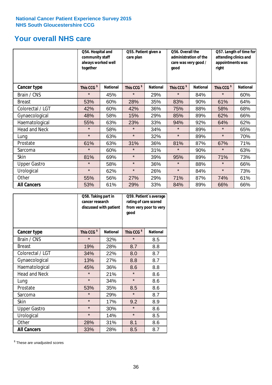### **Your overall NHS care**

|                      | together               | Q54. Hospital and<br>community staff<br>care plan<br>always worked well |                        | Q56. Overall the<br>Q55. Patient given a<br>good |                        | administration of the<br>care was very good / | Q57. Length of time for<br>attending clinics and<br>appointments was<br>right |                 |
|----------------------|------------------------|-------------------------------------------------------------------------|------------------------|--------------------------------------------------|------------------------|-----------------------------------------------|-------------------------------------------------------------------------------|-----------------|
| Cancer type          | This CCG <sup>\$</sup> | <b>National</b>                                                         | This CCG <sup>\$</sup> | <b>National</b>                                  | This CCG <sup>\$</sup> | <b>National</b>                               | This CCG <sup>\$</sup>                                                        | <b>National</b> |
| Brain / CNS          | $\star$                | 45%                                                                     | $\star$                | 29%                                              | $\star$                | 84%                                           | $\star$                                                                       | 60%             |
| <b>Breast</b>        | 53%                    | 60%                                                                     | 28%                    | 35%                                              | 83%                    | 90%                                           | 61%                                                                           | 64%             |
| Colorectal / LGT     | 42%                    | 60%                                                                     | 42%                    | 36%                                              | 75%                    | 88%                                           | 58%                                                                           | 68%             |
| Gynaecological       | 48%                    | 58%                                                                     | 15%                    | 29%                                              | 85%                    | 89%                                           | 62%                                                                           | 66%             |
| Haematological       | 55%                    | 63%                                                                     | 23%                    | 33%                                              | 94%                    | 92%                                           | 64%                                                                           | 62%             |
| <b>Head and Neck</b> | $\star$                | 58%                                                                     | $\star$                | 34%                                              | $\star$                | 89%                                           | $\star$                                                                       | 65%             |
| Lung                 | $\star$                | 63%                                                                     | $\star$                | 32%                                              | $\star$                | 89%                                           | $\star$                                                                       | 70%             |
| Prostate             | 61%                    | 63%                                                                     | 31%                    | 36%                                              | 81%                    | 87%                                           | 67%                                                                           | 71%             |
| Sarcoma              | $\star$                | 60%                                                                     | $\star$                | 31%                                              | $\star$                | 90%                                           | $\star$                                                                       | 63%             |
| Skin                 | 81%                    | 69%                                                                     | $\star$                | 39%                                              | 95%                    | 89%                                           | 71%                                                                           | 73%             |
| <b>Upper Gastro</b>  | $\star$                | 58%                                                                     | $\star$                | 36%                                              | $\star$                | 88%                                           | $\star$                                                                       | 66%             |
| Urological           | $\star$                | 62%                                                                     | $\star$                | 26%                                              | $\star$                | 84%                                           | $\star$                                                                       | 73%             |
| Other                | 55%                    | 56%                                                                     | 27%                    | 29%                                              | 71%                    | 87%                                           | 74%                                                                           | 61%             |
| <b>All Cancers</b>   | 53%                    | 61%                                                                     | 29%                    | 33%                                              | 84%                    | 89%                                           | 66%                                                                           | 66%             |

|                      | Q58. Taking part in<br>cancer research | discussed with patient | Q59. Patient's average<br>rating of care scored<br>from very poor to very<br>good |                 |  |
|----------------------|----------------------------------------|------------------------|-----------------------------------------------------------------------------------|-----------------|--|
| <b>Cancer type</b>   | This CCG <sup>\$</sup>                 | <b>National</b>        | This CCG <sup>\$</sup>                                                            | <b>National</b> |  |
| Brain / CNS          | $\star$                                | 32%                    | $\star$                                                                           | 8.5             |  |
| <b>Breast</b>        | 19%                                    | 28%                    | 8.7                                                                               | 8.8             |  |
| Colorectal / LGT     | 34%                                    | 22%                    | 8.0                                                                               | 8.7             |  |
| Gynaecological       | 27%<br>13%                             |                        | 8.8                                                                               | 8.7             |  |
| Haematological       | 45%                                    | 36%                    | 8.6                                                                               | 8.8             |  |
| <b>Head and Neck</b> | $\star$                                | 21%                    | $\star$                                                                           | 8.6             |  |
| Lung                 | $\star$                                | 34%                    | $\star$                                                                           | 8.6             |  |
| Prostate             | 53%                                    | 35%                    | 8.5                                                                               | 8.6             |  |
| Sarcoma              | $\star$                                | 29%                    | $\star$                                                                           | 8.7             |  |
| <b>Skin</b>          | $\star$                                | 17%                    | 9.2                                                                               | 8.9             |  |
| <b>Upper Gastro</b>  | $\star$                                | 30%                    | $\star$                                                                           | 8.6             |  |
| Urological           | $\star$                                | 14%                    | $\star$                                                                           | 8.5             |  |
| Other                | 28%                                    | 31%                    | 8.1                                                                               | 8.6             |  |
| <b>All Cancers</b>   | 33%                                    | 28%                    | 8.5                                                                               | 8.7             |  |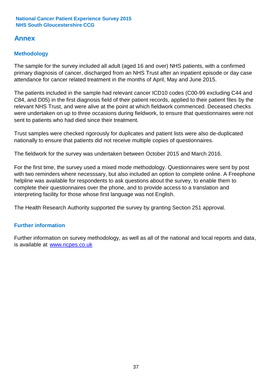### **Annex**

### **Methodology**

The sample for the survey included all adult (aged 16 and over) NHS patients, with a confirmed primary diagnosis of cancer, discharged from an NHS Trust after an inpatient episode or day case attendance for cancer related treatment in the months of April, May and June 2015.

The patients included in the sample had relevant cancer ICD10 codes (C00-99 excluding C44 and C84, and D05) in the first diagnosis field of their patient records, applied to their patient files by the relevant NHS Trust, and were alive at the point at which fieldwork commenced. Deceased checks were undertaken on up to three occasions during fieldwork, to ensure that questionnaires were not sent to patients who had died since their treatment.

Trust samples were checked rigorously for duplicates and patient lists were also de-duplicated nationally to ensure that patients did not receive multiple copies of questionnaires.

The fieldwork for the survey was undertaken between October 2015 and March 2016.

For the first time, the survey used a mixed mode methodology. Questionnaires were sent by post with two reminders where necesssary, but also included an option to complete online. A Freephone helpline was available for respondents to ask questions about the survey, to enable them to complete their questionnaires over the phone, and to provide access to a translation and interpreting facility for those whose first language was not English.

The Health Research Authority supported the survey by granting Section 251 approval.

### **Further information**

Further information on survey methodology, as well as all of the national and local reports and data, is available at www.ncpes.co.uk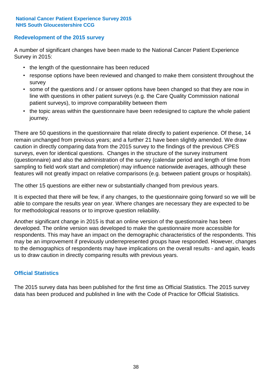#### **Redevelopment of the 2015 survey**

A number of significant changes have been made to the National Cancer Patient Experience Survey in 2015:

- the length of the questionnaire has been reduced
- response options have been reviewed and changed to make them consistent throughout the survey
- some of the questions and / or answer options have been changed so that they are now in line with questions in other patient surveys (e.g. the Care Quality Commission national patient surveys), to improve comparability between them
- the topic areas within the questionnaire have been redesigned to capture the whole patient journey.

There are 50 questions in the questionnaire that relate directly to patient experience. Of these, 14 remain unchanged from previous years; and a further 21 have been slightly amended. We draw caution in directly comparing data from the 2015 survey to the findings of the previous CPES surveys, even for identical questions. Changes in the structure of the survey instrument (questionnaire) and also the administration of the survey (calendar period and length of time from sampling to field work start and completion) may influence nationwide averages, although these features will not greatly impact on relative comparisons (e.g. between patient groups or hospitals).

The other 15 questions are either new or substantially changed from previous years.

It is expected that there will be few, if any changes, to the questionnaire going forward so we will be able to compare the results year on year. Where changes are necessary they are expected to be for methodological reasons or to improve question reliability.

Another significant change in 2015 is that an online version of the questionnaire has been developed. The online version was developed to make the questionnaire more accessible for respondents. This may have an impact on the demographic characteristics of the respondents. This may be an improvement if previously underrepresented groups have responded. However, changes to the demographics of respondents may have implications on the overall results - and again, leads us to draw caution in directly comparing results with previous years.

#### **Official Statistics**

The 2015 survey data has been published for the first time as Official Statistics. The 2015 survey data has been produced and published in line with the Code of Practice for Official Statistics.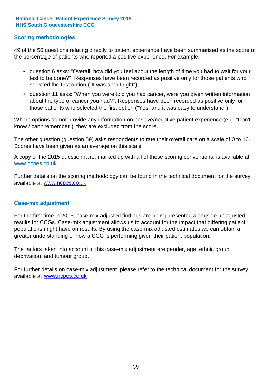#### **Scoring methodologies**

49 of the 50 questions relating directly to patient experience have been summarised as the score of the percentage of patients who reported a positive experience. For example:

- question 6 asks: "Overall, how did you feel about the length of time you had to wait for your test to be done?". Responses have been recorded as positive only for those patients who selected the first option ("It was about right")
- question 11 asks: "When you were told you had cancer, were you given written information about the type of cancer you had?". Responses have been recorded as positive only for those patients who selected the first option ("Yes, and it was easy to understand").

Where options do not provide any information on positive/negative patient experience (e.g. "Don't know / can't remember"), they are excluded from the score.

The other question (question 59) asks respondents to rate their overall care on a scale of 0 to 10. Scores have been given as an average on this scale.

A copy of the 2015 questionnaire, marked up with all of these scoring conventions, is available at www.ncpes.co.uk

Further details on the scoring methodology can be found in the technical document for the survey, available at <u>www.ncpes.co.uk</u>

#### **Case-mix adjustment**

For the first time in 2015, case-mix adjusted findings are being presented alongside unadjusted results for CCGs. Case-mix adjustment allows us to account for the impact that differing patient populations might have on results. By using the case-mix adjusted estimates we can obtain a greater understanding of how a CCG is performing given their patient population.

The factors taken into account in this case-mix adjustment are gender, age, ethnic group, deprivation, and tumour group.

For further details on case-mix adjustment, please refer to the technical document for the survey, available at www.ncpes.co.uk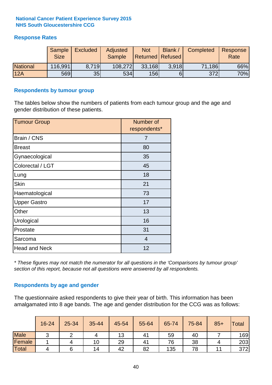#### **Response Rates**

|                 | Sample<br><b>Size</b> | <b>Excluded</b> | Adjusted<br><b>Sample</b> | <b>Not</b><br><b>Returned Refused</b> | Blank / | Completed | Response<br>Rate |
|-----------------|-----------------------|-----------------|---------------------------|---------------------------------------|---------|-----------|------------------|
| <b>National</b> | 116,991               | 8.719           | 108,272                   | 33,168                                | 3.918   | 71,186    | 66%              |
| 12A             | 569                   | 35              | 534                       | 156                                   | 6       | 372       | 70%              |

#### **Respondents by tumour group**

The tables below show the numbers of patients from each tumour group and the age and gender distribution of these patients.

| <b>Tumour Group</b>  | Number of<br>respondents* |
|----------------------|---------------------------|
| Brain / CNS          | 7                         |
| <b>Breast</b>        | 80                        |
| Gynaecological       | 35                        |
| Colorectal / LGT     | 45                        |
| Lung                 | 18                        |
| <b>Skin</b>          | 21                        |
| Haematological       | 73                        |
| <b>Upper Gastro</b>  | 17                        |
| Other                | 13                        |
| Urological           | 16                        |
| Prostate             | 31                        |
| Sarcoma              | $\overline{4}$            |
| <b>Head and Neck</b> | 12                        |

*\* These figures may not match the numerator for all questions in the 'Comparisons by tumour group' section of this report, because not all questions were answered by all respondents.*

#### **Respondents by age and gender**

The questionnaire asked respondents to give their year of birth. This information has been amalgamated into 8 age bands. The age and gender distribution for the CCG was as follows:

|             | 16-24 | 25-34 | 35-44 | 45-54 | 55-64 | 65-74 | 75-84 | $85+$ | <b>Total</b> |
|-------------|-------|-------|-------|-------|-------|-------|-------|-------|--------------|
| <b>Male</b> | ⌒     |       |       | 13    | 41    | 59    | 40    |       | 169          |
| Female      |       |       | 10    | 29    | 41    | 76    | 38    |       | 203          |
| Total       | 4     |       | 14    | 42    | 82    | 135   | 78    |       | 372          |